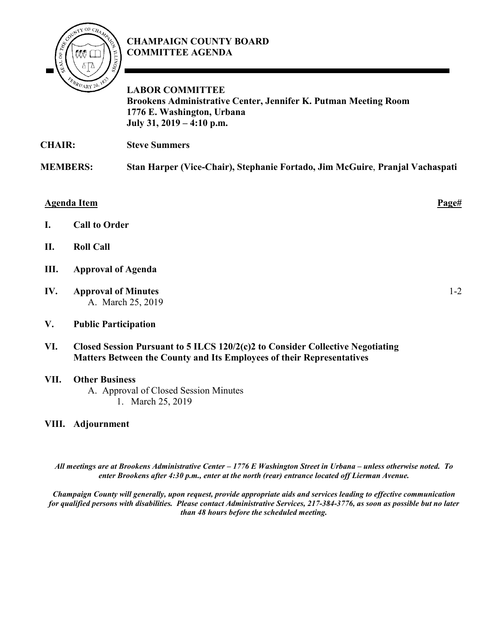

## **CHAMPAIGN COUNTY BOARD COMMITTEE AGENDA**

**LABOR COMMITTEE Brookens Administrative Center, Jennifer K. Putman Meeting Room 1776 E. Washington, Urbana July 31, 2019 – 4:10 p.m.**

**CHAIR: Steve Summers** 

**MEMBERS: Stan Harper (Vice-Chair), Stephanie Fortado, Jim McGuire**, **Pranjal Vachaspati**

## **Agenda Item Page#**

- **I. Call to Order**
- **II. Roll Call**
- **III. Approval of Agenda**
- **IV. Approval of Minutes** A. March 25, 2019
- **V. Public Participation**
- **VI. Closed Session Pursuant to 5 ILCS 120/2(c)2 to Consider Collective Negotiating Matters Between the County and Its Employees of their Representatives**

## **VII. Other Business**

A. Approval of Closed Session Minutes 1. March 25, 2019

## **VIII. Adjournment**

*All meetings are at Brookens Administrative Center – 1776 E Washington Street in Urbana – unless otherwise noted. To enter Brookens after 4:30 p.m., enter at the north (rear) entrance located off Lierman Avenue.* 

*Champaign County will generally, upon request, provide appropriate aids and services leading to effective communication for qualified persons with disabilities. Please contact Administrative Services, 217-384-3776, as soon as possible but no later than 48 hours before the scheduled meeting.*

1-2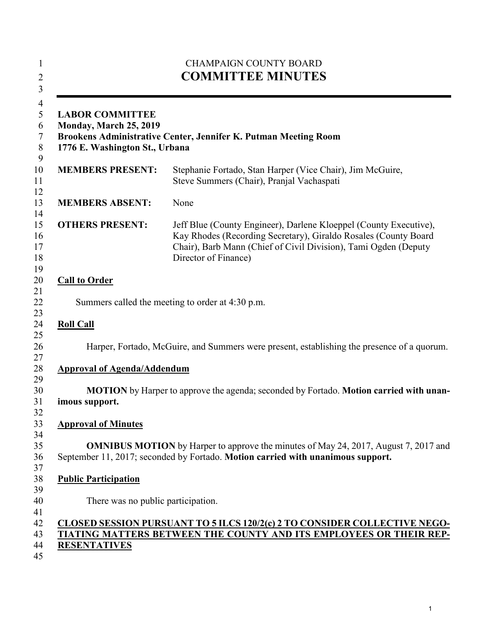|                                                                                                                                                              | <b>CHAMPAIGN COUNTY BOARD</b><br><b>COMMITTEE MINUTES</b>                                                                                                                                                                       |
|--------------------------------------------------------------------------------------------------------------------------------------------------------------|---------------------------------------------------------------------------------------------------------------------------------------------------------------------------------------------------------------------------------|
| <b>LABOR COMMITTEE</b><br><b>Monday, March 25, 2019</b><br>Brookens Administrative Center, Jennifer K. Putman Meeting Room<br>1776 E. Washington St., Urbana |                                                                                                                                                                                                                                 |
| <b>MEMBERS PRESENT:</b>                                                                                                                                      | Stephanie Fortado, Stan Harper (Vice Chair), Jim McGuire,<br>Steve Summers (Chair), Pranjal Vachaspati                                                                                                                          |
| <b>MEMBERS ABSENT:</b>                                                                                                                                       | None                                                                                                                                                                                                                            |
| <b>OTHERS PRESENT:</b>                                                                                                                                       | Jeff Blue (County Engineer), Darlene Kloeppel (County Executive),<br>Kay Rhodes (Recording Secretary), Giraldo Rosales (County Board<br>Chair), Barb Mann (Chief of Civil Division), Tami Ogden (Deputy<br>Director of Finance) |
| <b>Call to Order</b>                                                                                                                                         |                                                                                                                                                                                                                                 |
|                                                                                                                                                              | Summers called the meeting to order at 4:30 p.m.                                                                                                                                                                                |
| <b>Roll Call</b>                                                                                                                                             |                                                                                                                                                                                                                                 |
|                                                                                                                                                              | Harper, Fortado, McGuire, and Summers were present, establishing the presence of a quorum.                                                                                                                                      |
| <b>Approval of Agenda/Addendum</b>                                                                                                                           |                                                                                                                                                                                                                                 |
| imous support.                                                                                                                                               | MOTION by Harper to approve the agenda; seconded by Fortado. Motion carried with unan-                                                                                                                                          |
| <b>Approval of Minutes</b>                                                                                                                                   |                                                                                                                                                                                                                                 |
|                                                                                                                                                              | <b>OMNIBUS MOTION</b> by Harper to approve the minutes of May 24, 2017, August 7, 2017 and<br>September 11, 2017; seconded by Fortado. Motion carried with unanimous support.                                                   |
| <b>Public Participation</b>                                                                                                                                  |                                                                                                                                                                                                                                 |
| There was no public participation.                                                                                                                           |                                                                                                                                                                                                                                 |
| <b>RESENTATIVES</b>                                                                                                                                          | <u>CLOSED SESSION PURSUANT TO 5 ILCS 120/2(c) 2 TO CONSIDER COLLECTIVE NEGO-</u><br>TIATING MATTERS BETWEEN THE COUNTY AND ITS EMPLOYEES OR THEIR REP-                                                                          |